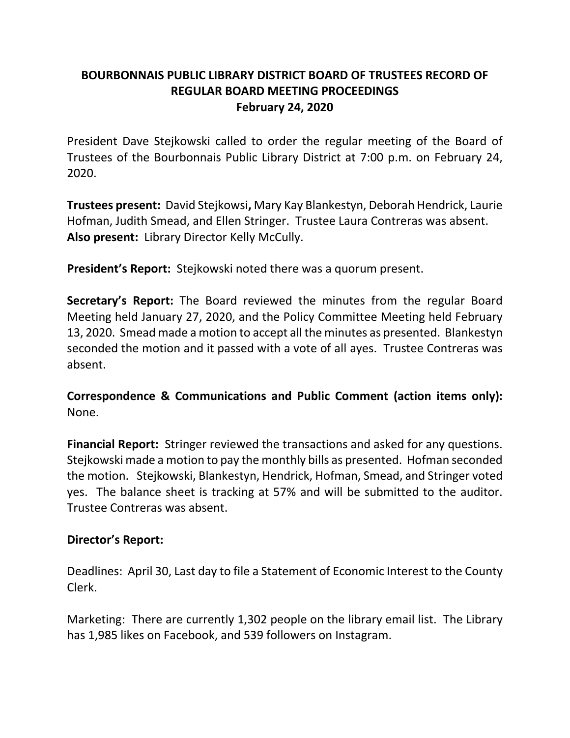# **BOURBONNAIS PUBLIC LIBRARY DISTRICT BOARD OF TRUSTEES RECORD OF REGULAR BOARD MEETING PROCEEDINGS February 24, 2020**

President Dave Stejkowski called to order the regular meeting of the Board of Trustees of the Bourbonnais Public Library District at 7:00 p.m. on February 24, 2020.

**Trustees present:** David Stejkowsi**,** Mary Kay Blankestyn, Deborah Hendrick, Laurie Hofman, Judith Smead, and Ellen Stringer. Trustee Laura Contreras was absent. **Also present:** Library Director Kelly McCully.

**President's Report:** Stejkowski noted there was a quorum present.

**Secretary's Report:** The Board reviewed the minutes from the regular Board Meeting held January 27, 2020, and the Policy Committee Meeting held February 13, 2020. Smead made a motion to accept all the minutes as presented. Blankestyn seconded the motion and it passed with a vote of all ayes. Trustee Contreras was absent.

**Correspondence & Communications and Public Comment (action items only):**  None.

**Financial Report:** Stringer reviewed the transactions and asked for any questions. Stejkowski made a motion to pay the monthly bills as presented. Hofman seconded the motion. Stejkowski, Blankestyn, Hendrick, Hofman, Smead, and Stringer voted yes. The balance sheet is tracking at 57% and will be submitted to the auditor. Trustee Contreras was absent.

## **Director's Report:**

Deadlines: April 30, Last day to file a Statement of Economic Interest to the County Clerk.

Marketing: There are currently 1,302 people on the library email list. The Library has 1,985 likes on Facebook, and 539 followers on Instagram.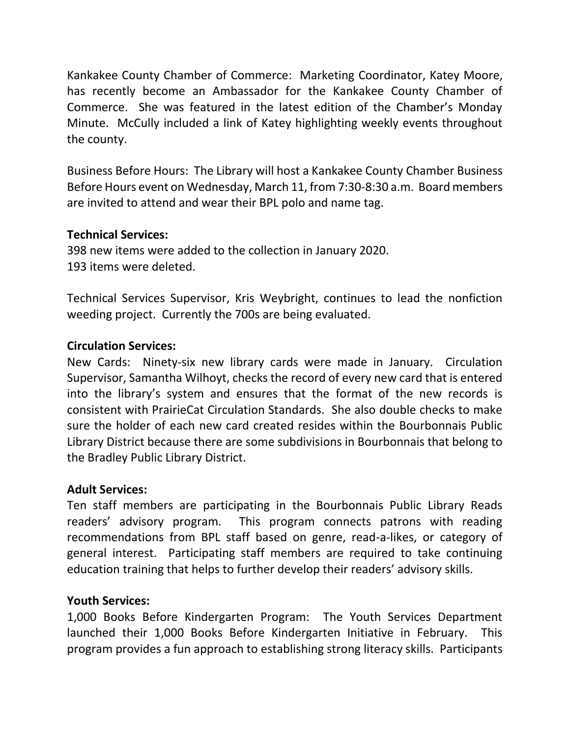Kankakee County Chamber of Commerce: Marketing Coordinator, Katey Moore, has recently become an Ambassador for the Kankakee County Chamber of Commerce. She was featured in the latest edition of the Chamber's Monday Minute. McCully included a link of Katey highlighting weekly events throughout the county.

Business Before Hours: The Library will host a Kankakee County Chamber Business Before Hours event on Wednesday, March 11, from 7:30-8:30 a.m. Board members are invited to attend and wear their BPL polo and name tag.

## **Technical Services:**

398 new items were added to the collection in January 2020. 193 items were deleted.

Technical Services Supervisor, Kris Weybright, continues to lead the nonfiction weeding project. Currently the 700s are being evaluated.

## **Circulation Services:**

New Cards: Ninety-six new library cards were made in January. Circulation Supervisor, Samantha Wilhoyt, checks the record of every new card that is entered into the library's system and ensures that the format of the new records is consistent with PrairieCat Circulation Standards. She also double checks to make sure the holder of each new card created resides within the Bourbonnais Public Library District because there are some subdivisions in Bourbonnais that belong to the Bradley Public Library District.

## **Adult Services:**

Ten staff members are participating in the Bourbonnais Public Library Reads readers' advisory program. This program connects patrons with reading recommendations from BPL staff based on genre, read-a-likes, or category of general interest. Participating staff members are required to take continuing education training that helps to further develop their readers' advisory skills.

# **Youth Services:**

1,000 Books Before Kindergarten Program: The Youth Services Department launched their 1,000 Books Before Kindergarten Initiative in February. This program provides a fun approach to establishing strong literacy skills. Participants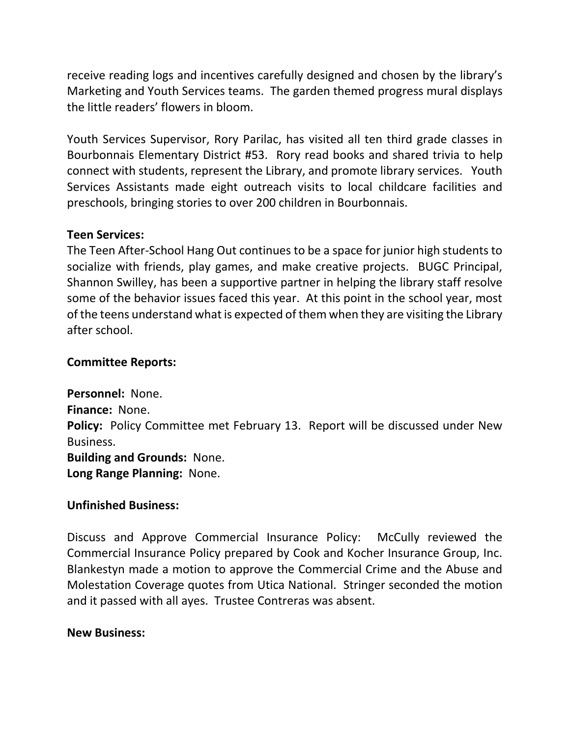receive reading logs and incentives carefully designed and chosen by the library's Marketing and Youth Services teams. The garden themed progress mural displays the little readers' flowers in bloom.

Youth Services Supervisor, Rory Parilac, has visited all ten third grade classes in Bourbonnais Elementary District #53. Rory read books and shared trivia to help connect with students, represent the Library, and promote library services. Youth Services Assistants made eight outreach visits to local childcare facilities and preschools, bringing stories to over 200 children in Bourbonnais.

### **Teen Services:**

The Teen After-School Hang Out continues to be a space for junior high students to socialize with friends, play games, and make creative projects. BUGC Principal, Shannon Swilley, has been a supportive partner in helping the library staff resolve some of the behavior issues faced this year. At this point in the school year, most of the teens understand what is expected of them when they are visiting the Library after school.

### **Committee Reports:**

**Personnel:** None. **Finance:** None. **Policy:** Policy Committee met February 13. Report will be discussed under New Business. **Building and Grounds:** None. **Long Range Planning:** None.

## **Unfinished Business:**

Discuss and Approve Commercial Insurance Policy: McCully reviewed the Commercial Insurance Policy prepared by Cook and Kocher Insurance Group, Inc. Blankestyn made a motion to approve the Commercial Crime and the Abuse and Molestation Coverage quotes from Utica National. Stringer seconded the motion and it passed with all ayes. Trustee Contreras was absent.

#### **New Business:**